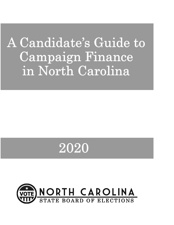# A Candidate's Guide to Campaign Finance in North Carolina

# 2020

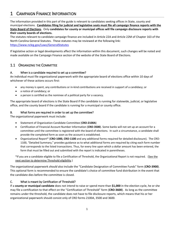# 1 CAMPAIGN FINANCE INFORMATION

The information provided in this part of the guide is relevant to candidates seeking offices in State, county and municipal elections. **Candidates filing for judicial and legislative seats must file all campaign finance reports with the State Board of Elections**. Only **candidates for county or municipal offices will file campaign disclosure reports with their county boards of elections.**

The statutes relevant to candidate campaign finance are included in Article 22A and Article 22M of Chapter 163 of the North Carolina General Statutes. These statutes may be reviewed at the following link:

#### <https://www.ncleg.gov/Laws/GeneralStatutes>

If legislative action or legal developments affect the information within this document, such changes will be noted and made available on the Campaign Finance section of the website of the State Board of Elections.

# 1.1 ORGANIZING THE COMMITTEE

#### A. When is a candidate required to set up a committee?

An individual must file organizational paperwork with the appropriate board of elections office within 10 days of whichever of these actions occurs first:

- any money is spent, any contributions or in-kind contributions are received in support of a candidacy; or
- a notice of candidacy; or
- a person is certified as the nominee of a political party for a vacancy.

The appropriate board of elections is the State Board if the candidate is running for statewide, judicial, or legislative office, and the county board if the candidate is running for a municipal or county office.

#### B. What forms are required in order to set up the committee?

The organizational paperwork must include:

- Statement of Organization-Candidate Committee (**CRO-2100A**)
- Certification of Financial Account Number Information (**CRO-3500**). Some banks will not set up an account for a committee until the committee is registered with the board of elections. In such a circumstance, a candidate shall provide the completed form as soon as the account is established.
- Organizational Report\* (**CRO-1000, CRO-1100** and any additional forms required for detailed disclosure). The CRO-1100, "Detailed Summary," provides guidance as to what additional forms are required by citing each form number that corresponds to the listed transactions. Thus, for every line upon which a dollar amount has been entered, the form that must be filled out and submitted with the report is indicated in parentheses.

\*If you are a candidate eligible to file a Certification of Threshold, the Organizational Report is not required. (See the next section to determine Threshold eligibility.)

The organizational paperwork *should* also include the "Candidate Designation of Committee Funds" form (**CRO-3900**). This optional form is recommended to ensure the candidate's choice of committee fund distribution in the event that the candidate dies before the committee is closed.

#### C. What is meant by Certification of Threshold?

If a **county or municipal candidate** does not intend to raise or spend more than **\$1,000** in the election cycle, he or she may file a certification to that effect on the "Certification of Threshold" form (**CRO-3600**). As long as the committee remains under the threshold, the candidate does not have to file disclosure reports, which means that his or her organizational paperwork should consist only of CRO forms 2100A, 3500 and 3600.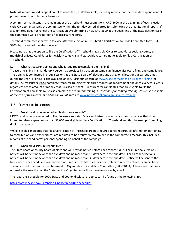**Note:** All monies raised or spent count towards the \$1,000 threshold, including money that the candidate spends out of pocket, in-kind contributions, loans etc.

A committee that intends to remain under the threshold must submit form CRO-3600 at the beginning of each election cycle OR upon organizing the committee (within the ten-day period allotted for submitting the organizational report). If a committee does not renew the certification by submitting a new CRO-3600 at the beginning of the next election cycle, the committee will be required to file disclosure reports.

Threshold committees that wish to close after the election must submit a Certification to Close Committee form, CRO-3400, by the end of the election year.

Please note that the option to file the Certification of Threshold is available **ONLY** to candidates seeking **county or municipal** offices. Candidates for legislative, judicial and statewide races are not eligible to file a Certification of Threshold.

# D. What is treasurer training and who is required to complete the training?

Treasurer training is a mandatory course that provides instruction on campaign finance disclosure filing and compliance. The training is conducted in group sessions at the State Board of Elections and at regional locations at various times during the year. Training is also available online. Visit our website at [www.ncsbe.gov/Campaign-Finance/training](http://www.ncsbe.gov/Campaign-Finance/training) for details. All treasurers **MUST** complete treasurer training within three months of appointment and once every four years, regardless of the amount of money that is raised or spent. Treasurers for candidates that are eligible to file the Certification of Threshold must also complete the required training. *A schedule of upcoming training sessions is available at the end of this document and on the NCSBE website* [www.ncsbe.gov/Campaign-Finance/training.](http://www.ncsbe.gov/Campaign-Finance/training)

# 1.2 DISCLOSURE REPORTING

# A. Are all candidates required to file disclosure reports?

MOST candidates are required to file disclosure reports. Only candidates for county or municipal offices that do not intend to raise or spend more than \$1,000 are eligible to file a Certification of Threshold and thus be exempt from filing disclosure reports.

While eligible candidates that file a Certification of Threshold are not required to file reports, all information pertaining to contributions and expenditures are required to be accurately maintained in the committee's records. This includes records of the candidate's personal spending on behalf of the campaign.

# B. When are disclosure reports filed?

The State Board or county board of elections will provide notice before each report is due. For municipal elections, notices will be sent no fewer than five days and no more than 15 days before the due date. For all other elections, notices will be sent no fewer than five days and no more than 30 days before the due date. Notice will be sent to the treasurer of each candidate committee that is required to file. If a treasurer prefers to receive notices by email, he or she must check the box on the Statement of Organization – Candidate Committee (CRO-2100A). A treasurer that does not make the selection on the Statement of Organization will not receive notices by email.

The reporting schedule for 2020 State and County disclosure reports can be found at the following link.

<https://www.ncsbe.gov/Campaign-Finance/reporting-schedules>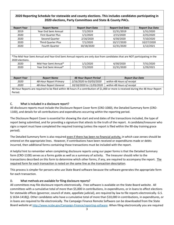# **2020 Reporting Schedule for statewide and county elections. This includes candidates participating in 2020 elections, Party Committees and State & County PACs.**

| <b>Report Year</b> | <b>Report Name</b>                                                                                                                  | <b>Report Start Date</b>     | <b>Report End Date</b>     | <b>Report Due Date</b> |
|--------------------|-------------------------------------------------------------------------------------------------------------------------------------|------------------------------|----------------------------|------------------------|
| 2019               | Year End Semi Annual                                                                                                                | 7/1/2019                     | 12/31/2019                 | 1/31/2020              |
| 2020               | <b>First Quarter Plus</b>                                                                                                           | 1/1/2020                     | 2/15/2020                  | 2/25/2020              |
| 2020               | Second Quarter                                                                                                                      | 2/16/2020                    | 6/30/2020                  | 7/10/2020              |
| 2020               | <b>Third Quarter Plus</b>                                                                                                           | 7/1/2020                     | 10/17/2020                 | 10/27/2020             |
| 2020               | <b>Fourth Quarter</b>                                                                                                               | 10/18/2020                   | 12/31/2020                 | 1/12/2021              |
|                    |                                                                                                                                     |                              |                            |                        |
|                    |                                                                                                                                     |                              |                            |                        |
|                    | *The Mid-Year Semi Annual and Year-End Semi Annual reports are only due from candidates that are NOT participating in the           |                              |                            |                        |
| 2020 elections.    |                                                                                                                                     |                              |                            |                        |
| 2020               | Mid-Year Semi Annual*                                                                                                               | 1/1/2020                     | 6/30/2020                  | 7/31/2020              |
| 2020               | Year End Semi Annual*                                                                                                               | 7/1/2020                     | 12/31/2020                 | 1/29/2021              |
|                    |                                                                                                                                     |                              |                            |                        |
|                    |                                                                                                                                     |                              |                            |                        |
| <b>Report Year</b> | <b>Report Name</b>                                                                                                                  | <b>48 Hour Report Period</b> | <b>Report Due Date</b>     |                        |
| 2020               | 48-Hour Report Primary                                                                                                              | 2/16/2020 to 03/03/2020      | within 48 Hours of receipt |                        |
| 2020               | 48-Hour Report General                                                                                                              | 10/18/2020 to 11/03/2020     | within 48 Hours of receipt |                        |
|                    | 48 Hour Reports are required to be filed within 48 hours if a contribution of \$1,000 or more is received during the 48 Hour Report |                              |                            |                        |
| Period.            |                                                                                                                                     |                              |                            |                        |

# C. What is included in a disclosure report?

All disclosure reports must include the Disclosure Report Cover form (CRO-1000), the Detailed Summary form (CRO-1100), and details for all contributions and expenditures occurring within the reporting period.

The Disclosure Report Cover is essential for showing the start and end dates of the transactions included, the type of report being submitted, and for providing a signature that attests to the truth of the report. A candidate/treasurer who signs a report must have completed the required training (unless the report is filed within the 90-day training grace period).

The Detailed Summary form is also required even if there has been no financial activity, in which case zeroes should be entered on the appropriate lines. However, if contributions have been received or expenditures made or debts incurred, then additional forms containing those transactions must be included with the report.

A helpful hint to remember when completing disclosure reports using our paper forms is that the Detailed Summary form (CRO-1100) serves as a forms guide as well as a summary of activity. The treasurer should refer to the transactions described on this form to determine which other forms, if any, are required to accompany the report. The required form for each transaction is noted on the same line as the transaction description.

This process is simpler for persons who use State Board software because the software generates the appropriate form for each transaction.

# D. What methods are available for filing disclosure reports?

All committees may file disclosure reports electronically. Free software is available on the State Board website. All committees with a cumulative total of more than \$5,000 in contributions, in expenditures, or in loans to affect elections for statewide offices (governor, council of state, appellate judicial), are required by law to file reports electronically. G.S. § 163A-1418(j). Other candidates who have a cumulative total of more than \$10,000 in contributions, in expenditures, or in loans are required to file electronically. The Campaign Finance Remote Software can be downloaded from the State Board website at [http://www.ncsbe.gov/Campaign-Finance/reporting-software.](http://www.ncsbe.gov/Campaign-Finance/reporting-software) When filing electronically you are required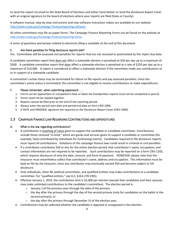to send the report via email to the State Board of Elections and either hand deliver or send the Disclosure Report Cover with an original signature to the board of elections where your reports are filed (State or County).

A software manual, step-by-step instructions and new software instruction videos are available on our website [http://www.ncsbe.gov/Campaign-Finance/reporting-software.](http://www.ncsbe.gov/Campaign-Finance/reporting-software)

All other committees may file on paper forms. The Campaign Finance Reporting Forms can be found on the website at [http://www.ncsbe.gov/Campaign-Finance/reporting-forms.](http://www.ncsbe.gov/Campaign-Finance/reporting-forms)

*A series of questions and answer related to electronic filing is available at the end of this document.*

# E. Are there penalties for filing disclosure reports late?

Yes. Committees will be assessed civil penalties for reports that are not received or postmarked by the report due date.

A candidate committee report that does not affect a statewide election is penalized at \$50 per day up to a maximum of \$500. A candidate committee report that does affect a statewide election is penalized at a rate of \$250 per day up to a maximum of \$10,000. A report is considered to affect a statewide election if the committee made any contributions to or in support of a statewide candidate.

A committee's active status may be terminated for failure to file reports and pay assessed penalties. Once the committee's active status is terminated, the committee is not eligible to receive contributions or make expenditures.

# F. Please remember, when submitting paperwork . . .

- 1. Forms can be typewritten or completed in blue or black ink (handwritten reports must not be completed in pencil).
- 2. Forms need not be stapled together.
- 3. Reports cannot be filed prior to the end of the reporting period.
- 4. Always enter the period start date and period end date on form CRO-1000.
- 5. A DATE and ORIGINAL signature are required on the Disclosure Report Cover (CRO-1000).

# 1.3 CAMPAIGN FINANCE LAW REGARDING CONTRIBUTIONS AND EXPENDITURES

# A. What is the law regarding contributions?

- A contribution is anything of value given to support the candidate or candidate committee. Contributions include those received "in-kind," which are goods and services given to support a candidate or committee (for example, food contributed by individuals for fundraising events). Candidates required to file disclosure reports must report all contributions. Violations of the campaign finance laws could result in criminal or civil penalties.
- If a contributor contributes \$50 or less for the entire election period, that contributor's name, occupation, and contact information are not required to be reported. Such contributions may be reported on a form CRO-1205, which requires disclosure of only the date, amount, and form of payment. HOWEVER, please note that the treasurer must nevertheless collect that contributor's name, address and occupation. This information must be kept on file by the treasurer, since any contributor may eventually exceed \$50 and become subject to full disclosure.
- Only individuals, other NC political committees, and qualified entities may make contributions to a candidate committee. For "qualified entities," see G.S. §163-278.19(h).
- Effective January 1, 2019, the contribution limit is \$5,400 per election (except that candidates and their spouses may make unlimited contributions to the candidate's committee). The election period is:
	- $\circ$  January 1 of the previous year through the date of the primary.
	- $\circ$  the day after the primary through the day of the second primary (only for candidates on the ballot in the second primary), or
	- o the day after the primary through December 31 of the election year.
- Contributions may be collected whether the candidate is opposed or unopposed in the election.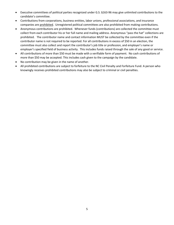- Executive committees of political parties recognized under G.S. §163-96 may give unlimited contributions to the candidate's committee.
- Contributions from corporations, business entities, labor unions, professional associations, and insurance companies are prohibited. Unregistered political committees are also prohibited from making contributions.
- Anonymous contributions are prohibited. Whenever funds (contributions) are collected the committee must collect from each contributor his or her full name and mailing address. Anonymous "pass the hat" collections are prohibited. The contributor name and contact information MUST be collected by the committee even if the contributor name is not required to be reported. For all contributions in excess of \$50 in an election, the committee must also collect and report the contributor's job title or profession, and employer's name or employer's specified field of business activity. This includes funds raised through the sale of any good or service.
- All contributions of more than \$50 must be made with a verifiable form of payment. No cash contributions of more than \$50 may be accepted. This includes cash given to the campaign by the candidate.
- No contribution may be given in the name of another.
- All prohibited contributions are subject to forfeiture to the NC Civil Penalty and Forfeiture Fund. A person who knowingly receives prohibited contributions may also be subject to criminal or civil penalties.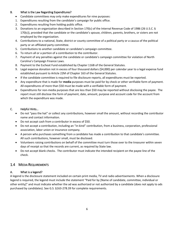### B. What is the Law Regarding Expenditures?

- Candidate committees may only make expenditures for nine purposes:
- 1. Expenditures resulting from the candidate's campaign for public office.
- 2. Expenditures resulting from holding public office.
- 3. Donations to an organization described in Section 170(c) of the Internal Revenue Code of 1986 (26 U.S.C. § 170(c)), provided that the candidate or the candidate's spouse, children, parents, brothers, or sisters are not employed by the organization.
- 4. Contributions to a national, State, district or county committee of a political party or a caucus of the political party or an affiliated party committee.
- 5. Contributions to another candidate or candidate's campaign committee.
- 6. To return all or a portion of a contribution to the contributor.
- 7. Payment of any penalties against the candidate or candidate's campaign committee for violation of North Carolina's Campaign Finance Laws.
- 8. Payment to the Escheat Fund established by Chapter 116B of the General Statutes.
- 9. Legal expense donation not in excess of four thousand dollars (\$4,000) per calendar year to a legal expense fund established pursuant to Article 22M of Chapter 163 of the General Statutes.
- If the candidate committee is required to file disclosure reports, all expenditures must be reported.
- Any expenditure that is made for **media** purposes must be paid for by check or other verifiable form of payment. All expenditures of more than \$50 must be made with a verifiable form of payment.
- Expenditures for non-media purposes that are less than \$50 may be reported without disclosing the payee. The report must still disclose the form of payment, date, amount, purpose and account code for the account from which the expenditure was made.

# C. Helpful Hints…

- Do not "pass the hat" or collect any contributions, however small the amount, without recording the contributor name and contact information.
- Do not accept cash from a contributor in excess of \$50.
- Do not accept a contribution, including an "in-kind" contribution, from a business, corporation, professional association, labor union or insurance company.
- A person who purchases something from a candidate has made a contribution to that candidate's committee. All such contributions, however small, must be disclosed.
- Volunteers raising contributions on behalf of the committee must turn those over to the treasurer within seven days of receipt so that the records are current, as required by State law.
- Do not accept blank checks. The contributor must indicate the intended recipient on the payee line of the check.

# 1.4 MEDIA REQUIREMENTS

# A. What is a legend?

A legend is the disclosure statement included on certain print media, TV and radio advertisements. When a disclosure legend is required, the legend must include the statement "Paid for by [Name of candidate, committee, individual or other entity]" and must indicate whether the ad was authorized or not authorized by a candidate (does not apply to ads purchased by candidates). See G.S. §163-278.39 for complete requirements.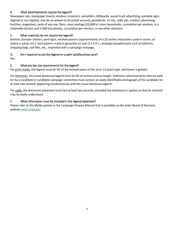## B. What advertisements require the legend?

Newspaper ads, newspaper inserts, airplane streamers, pamphlets, billboards, sound truck advertising, portable signs (lighted or non-lighted; may be on wheels to be pulled around), periodicals, TV ads, radio ads, outdoor advertising facilities, magazines, cards of any size, fliers, mass mailings (20,000 or more households, cumulative per election, in a statewide election and 2,500 households, cumulative per election, in any other election).

## C. What materials do not require the legend?

Buttons, bumper stickers, yard signs, window posters (approximately 14 x 22 inches and posters used in stores, on stakes in yards, etc.), barn posters made at generally no cost (3 x 5 ft.), campaign paraphernalia such as balloons, shopping bags, nail files, etc., imprinted with a campaign message.

## D. Am I required to put the legend on a palm card/business card?

Yes.

## E. What are the size requirements for the legend?

For print media, the legend must be 5% of the printed space of the ad or 12-point type, whichever is greater.

For television, the visual disclosure legend must be 4% of vertical picture height. Television advertisements that are paid for by a candidate or candidate campaign committee must contain an easily identifiable photograph of the candidate for at least two seconds appearing simultaneously with the visual disclosure legend.

For radio, the disclosure statement must last at least two seconds, provided the statement is spoken so that its contents may be easily understood.

#### F. What information must be included in the legend statement?

Please refer to the Media section in the Campaign Finance Manual that is available on the State Board of Elections websit[e www.ncsbe.gov.](http://www.ncsbe.gov/)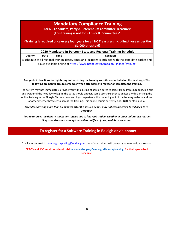# **Mandatory Compliance Training**

# **For NC Candidate, Party & Referendum Committee Treasurers (This training is not for PACs or IE Committees\*)**

## **(Training is required once every four years for all NC Treasurers including those under the \$1,000 threshold)**

**County Date Time Location**

A schedule of all regional training dates, times and locations is included with the candidate packet and is also available online at [https://www.ncsbe.gov/Campaign-Finance/training.](https://www.ncsbe.gov/Campaign-Finance/training)

#### **Complete instructions for registering and accessing the training website are included on the next page. The following are helpful tips to remember when attempting to register or complete the training.**

The system may not immediately provide you with a listing of session dates to select from. If this happens, log-out and wait until the next day to log-in, the dates should appear. Some users experience an issue with launching the online training in the Google Chrome browser. If you experience this issue, log out of the training website and use another internet browser to access the training. This online course currently does NOT contain audio.

#### *Attendees arriving more than 15 minutes after the session begins may not receive credit & will need to reschedule.*

*The SBE reserves the right to cancel any session due to low registration, weather or other unforeseen reasons. Only attendees that pre-register will be notified of any possible cancellation.*

# **To register for a Software Training in Raleigh or via phone:**

Email your request t[o campaign.reporting@ncsbe.gov -](mailto:campaign.reporting@ncsbe.gov) one of our trainers will contact you to schedule a session.

**\*PAC's and IE Committees should visit [www.ncsbe.gov/Campaign-Finance/training](http://www.ncsbe.gov/Campaign-Finance/training) for their specialized schedule.**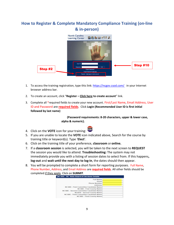# **How to Register & Complete Mandatory Compliance Training (on-line & in-person)**



- 1. To access the training registration, type this link: https://ncgov.csod.com/ in your Internet browser address bar.
- 2. To create an account, click "**Register – Click here to create account**" link.
- 3. Complete all \*required fields to create your new account. First/Last Name, Email Address, User ID and Password are **required fields**. Click **Login (Recommended User ID is first initial followed by last name)**

 **(Password requirements: 8-20 characters, upper & lower case, alpha & numeric).**

- 4. Click on the **VOTE** icon for your training:
- 5. If you are unable to locate the **VOTE** icon indicated above, Search for the course by training title or keyword(s). Type '**Elect**'.
- 6. Click on the training title of your preference, **classroom** or **online.**
- 7. If a **classroom session** is selected, you will be taken to the next screen to **REQUEST**  the session you would like to attend. **Troubleshooting:** The system may not immediately provide you with a listing of session dates to select from. If this happens**, log-out** and **wait until the next day to log-in**, the dates should then appear.
- 8. You will be prompted to complete a short form for reporting purposes. Full Name, Phone Number, Address, and Email Address are **required fields**. All other fields should be completed if they apply. Click on **SUBMIT**.

| Full Name:                               |
|------------------------------------------|
| <b>Email:</b>                            |
| Phone Number:                            |
| Address:                                 |
| NCSBE - First Committee Candidate Name:  |
| <b>NCSBE</b> - First County Name:        |
| NCSBE - Second Committee Candidate Name: |
| <b>NCBOE - Second County Name:</b>       |
| NCSBE - Third Committee Candidate Name:  |
| <b>NCSBE</b> - Third County Name:        |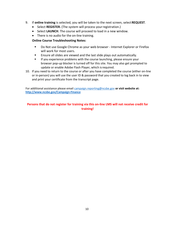- 9. If **online training** is selected, you will be taken to the next screen, select**REQUEST**.
	- Select **REGISTER.** (The system will process your registration.)
	- Select **LAUNCH**. The course will proceed to load in a new window.
	- There is no audio for the on-line training.

# **Online Course Troubleshooting Notes:**

- Do Not use Google Chrome as your web browser Internet Explorer or Firefox will work for most users.
- Ensure all slides are viewed and the last slide plays out automatically.
- **If you experience problems with the course launching, please ensure your** browser pop-up blocker is turned off for this site. You may also get prompted to update or enable Adobe Flash Player, which isrequired.
- 10. If you need to return to the course or after you have completed the course (either on-line or in-person) you will use the user ID & password that you created to log back in to view and print your certificate from the transcript page.

For additional assistance please email [campaign.reporting@ncsbe.gov](mailto:campaign.reporting@ncsbe.gov) **or visit website at: <http://www.ncsbe.gov/Campaign-Finance>**

# **Persons that do not register for training via this on-line LMS will not receive credit for training!**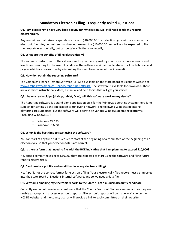# **Mandatory Electronic Filing - Frequently Asked Questions**

#### **Q1. I am expecting to have very little activity for my election. Do I still need to file my reports electronically?**

Any committee that raises or spends in excess of \$10,000.00 in an election cycle will be a mandatory electronic filer. Any committee that does not exceed the \$10,000.00 limit will not be expected to file their reports electronically, but can certainly file them voluntarily.

#### **Q2. What are the benefits of filing electronically?**

The software performs all of the calculations for you thereby making your reports more accurate and less time consuming for the user. In addition, the software maintains a database of all contributors and payees which also saves time by eliminating the need to enter repetitive information.

#### **Q3. How do I obtain the reporting software?**

The Campaign Finance Remote Software (CFRS) is available on the State Board of Elections website at [www.ncsbe.gov/Campaign-Finance/reporting-software.](http://www.ncsbe.gov/Campaign-Finance/reporting-software) The software is available for download. There are also short instructional videos, a manual and help topics that will get you started.

#### **Q4. I have a really old pc (dial-up, tablet, Mac), will this software work on my devise?**

The Reporting software is a stand-alone application built for the Windows operating system; there is no support for setting up the application to run over a network. The following Windows operating platforms are supported, but the software will operate on various Windows operating platforms (including Windows 10):

- **Windows XP SP3**
- Windows 7 32bit

#### **Q5. When is the best time to start using the software?**

You can start at any time but it's easier to start at the beginning of a committee or the beginning of an election cycle so that your election totals are correct.

#### **Q6. Is there a form that I need to file with the BOE indicating that I am planning to exceed \$10,000?**

No, once a committee exceeds \$10,000 they are expected to start using the software and filing future reports electronically.

#### **Q7. Can I create a pdf file and email that in as my electronic filing?**

No. A pdf is not the correct format for electronic filing. Your electronically filed report must be imported into the State Board of Elections internal software, and so we need a data file.

#### **Q8. Why am I emailing my electronic reports to the State? I am a municipal/county candidate.**

Currently we do not have internal software that the County Boards of Election can use, and so they are unable to accept and process electronic reports. All electronic reports will be made available on the NCSBE website, and the county boards will provide a link to each committee on their website.